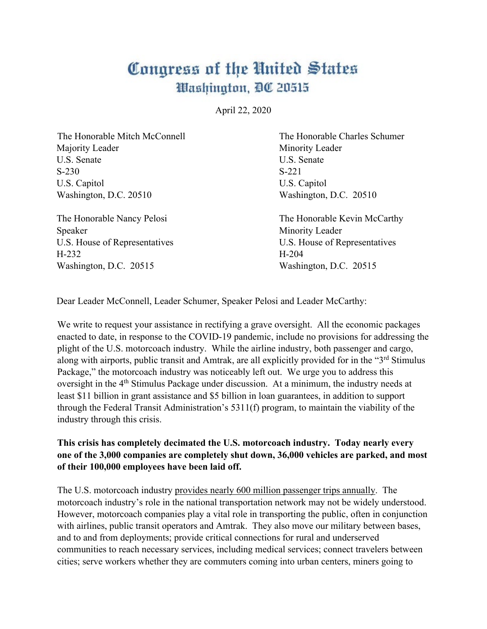## Congress of the United States Washington, DC 20515

April 22, 2020

| The Honorable Mitch McConnell | The Honorable Charles Schumer |
|-------------------------------|-------------------------------|
| Majority Leader               | Minority Leader               |
| U.S. Senate                   | U.S. Senate                   |
| $S-230$                       | $S-221$                       |
| U.S. Capitol                  | U.S. Capitol                  |
| Washington, D.C. 20510        | Washington, D.C. 20510        |
| The Honorable Nancy Pelosi    | The Honorable Kevin McCarthy  |
| Speaker                       | Minority Leader               |
| U.S. House of Representatives | U.S. House of Representatives |
| H-232                         | $H-204$                       |

Washington, D.C. 20515 Washington, D.C. 20515

Dear Leader McConnell, Leader Schumer, Speaker Pelosi and Leader McCarthy:

We write to request your assistance in rectifying a grave oversight. All the economic packages enacted to date, in response to the COVID-19 pandemic, include no provisions for addressing the plight of the U.S. motorcoach industry. While the airline industry, both passenger and cargo, along with airports, public transit and Amtrak, are all explicitly provided for in the "3<sup>rd</sup> Stimulus" Package," the motorcoach industry was noticeably left out. We urge you to address this oversight in the 4<sup>th</sup> Stimulus Package under discussion. At a minimum, the industry needs at least \$11 billion in grant assistance and \$5 billion in loan guarantees, in addition to support through the Federal Transit Administration's 5311(f) program, to maintain the viability of the industry through this crisis.

## **This crisis has completely decimated the U.S. motorcoach industry. Today nearly every one of the 3,000 companies are completely shut down, 36,000 vehicles are parked, and most of their 100,000 employees have been laid off.**

The U.S. motorcoach industry provides nearly 600 million passenger trips annually. The motorcoach industry's role in the national transportation network may not be widely understood. However, motorcoach companies play a vital role in transporting the public, often in conjunction with airlines, public transit operators and Amtrak. They also move our military between bases, and to and from deployments; provide critical connections for rural and underserved communities to reach necessary services, including medical services; connect travelers between cities; serve workers whether they are commuters coming into urban centers, miners going to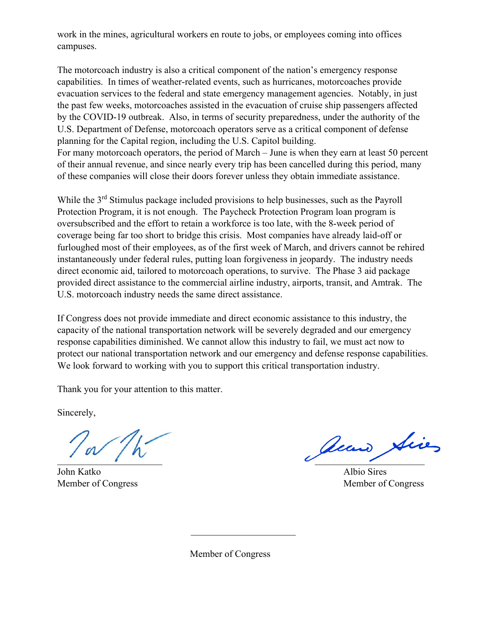work in the mines, agricultural workers en route to jobs, or employees coming into offices campuses.

The motorcoach industry is also a critical component of the nation's emergency response capabilities. In times of weather-related events, such as hurricanes, motorcoaches provide evacuation services to the federal and state emergency management agencies. Notably, in just the past few weeks, motorcoaches assisted in the evacuation of cruise ship passengers affected by the COVID-19 outbreak. Also, in terms of security preparedness, under the authority of the U.S. Department of Defense, motorcoach operators serve as a critical component of defense planning for the Capital region, including the U.S. Capitol building. For many motorcoach operators, the period of March – June is when they earn at least 50 percent of their annual revenue, and since nearly every trip has been cancelled during this period, many of these companies will close their doors forever unless they obtain immediate assistance.

While the 3<sup>rd</sup> Stimulus package included provisions to help businesses, such as the Payroll Protection Program, it is not enough. The Paycheck Protection Program loan program is oversubscribed and the effort to retain a workforce is too late, with the 8-week period of coverage being far too short to bridge this crisis. Most companies have already laid-off or furloughed most of their employees, as of the first week of March, and drivers cannot be rehired instantaneously under federal rules, putting loan forgiveness in jeopardy. The industry needs direct economic aid, tailored to motorcoach operations, to survive. The Phase 3 aid package provided direct assistance to the commercial airline industry, airports, transit, and Amtrak. The U.S. motorcoach industry needs the same direct assistance.

If Congress does not provide immediate and direct economic assistance to this industry, the capacity of the national transportation network will be severely degraded and our emergency response capabilities diminished. We cannot allow this industry to fail, we must act now to protect our national transportation network and our emergency and defense response capabilities. We look forward to working with you to support this critical transportation industry.

Thank you for your attention to this matter.

Sincerely,

John Katko Albio Sires Member of Congress Member of Congress

 $\overline{\phantom{a}}$ 

Member of Congress

 $\overline{\phantom{a}}$  , and the set of the set of the set of the set of the set of the set of the set of the set of the set of the set of the set of the set of the set of the set of the set of the set of the set of the set of the s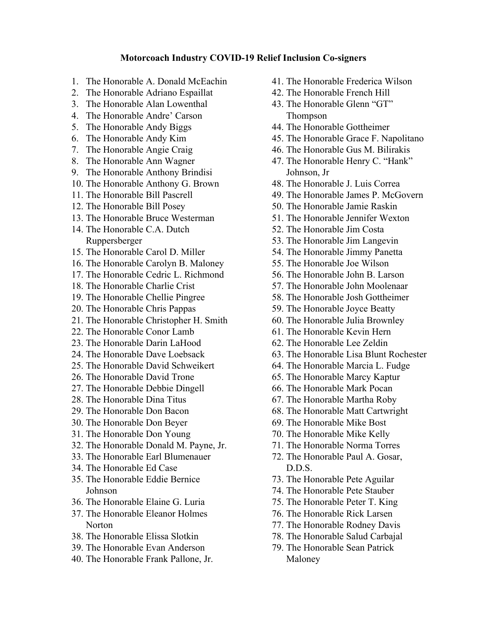## **Motorcoach Industry COVID-19 Relief Inclusion Co-signers**

- 1. The Honorable A. Donald McEachin
- 2. The Honorable Adriano Espaillat
- 3. The Honorable Alan Lowenthal
- 4. The Honorable Andre' Carson
- 5. The Honorable Andy Biggs
- 6. The Honorable Andy Kim
- 7. The Honorable Angie Craig
- 8. The Honorable Ann Wagner
- 9. The Honorable Anthony Brindisi
- 10. The Honorable Anthony G. Brown
- 11. The Honorable Bill Pascrell
- 12. The Honorable Bill Posey
- 13. The Honorable Bruce Westerman
- 14. The Honorable C.A. Dutch Ruppersberger
- 15. The Honorable Carol D. Miller
- 16. The Honorable Carolyn B. Maloney
- 17. The Honorable Cedric L. Richmond
- 18. The Honorable Charlie Crist
- 19. The Honorable Chellie Pingree
- 20. The Honorable Chris Pappas
- 21. The Honorable Christopher H. Smith
- 22. The Honorable Conor Lamb
- 23. The Honorable Darin LaHood
- 24. The Honorable Dave Loebsack
- 25. The Honorable David Schweikert
- 26. The Honorable David Trone
- 27. The Honorable Debbie Dingell
- 28. The Honorable Dina Titus
- 29. The Honorable Don Bacon
- 30. The Honorable Don Beyer
- 31. The Honorable Don Young
- 32. The Honorable Donald M. Payne, Jr.
- 33. The Honorable Earl Blumenauer
- 34. The Honorable Ed Case
- 35. The Honorable Eddie Bernice Johnson
- 36. The Honorable Elaine G. Luria
- 37. The Honorable Eleanor Holmes Norton
- 38. The Honorable Elissa Slotkin
- 39. The Honorable Evan Anderson
- 40. The Honorable Frank Pallone, Jr.
- 41. The Honorable Frederica Wilson
- 42. The Honorable French Hill
- 43. The Honorable Glenn "GT" Thompson
- 44. The Honorable Gottheimer
- 45. The Honorable Grace F. Napolitano
- 46. The Honorable Gus M. Bilirakis
- 47. The Honorable Henry C. "Hank" Johnson, Jr
- 48. The Honorable J. Luis Correa
- 49. The Honorable James P. McGovern
- 50. The Honorable Jamie Raskin
- 51. The Honorable Jennifer Wexton
- 52. The Honorable Jim Costa
- 53. The Honorable Jim Langevin
- 54. The Honorable Jimmy Panetta
- 55. The Honorable Joe Wilson
- 56. The Honorable John B. Larson
- 57. The Honorable John Moolenaar
- 58. The Honorable Josh Gottheimer
- 59. The Honorable Joyce Beatty
- 60. The Honorable Julia Brownley
- 61. The Honorable Kevin Hern
- 62. The Honorable Lee Zeldin
- 63. The Honorable Lisa Blunt Rochester
- 64. The Honorable Marcia L. Fudge
- 65. The Honorable Marcy Kaptur
- 66. The Honorable Mark Pocan
- 67. The Honorable Martha Roby
- 68. The Honorable Matt Cartwright
- 69. The Honorable Mike Bost
- 70. The Honorable Mike Kelly
- 71. The Honorable Norma Torres
- 72. The Honorable Paul A. Gosar, D.D.S.
- 73. The Honorable Pete Aguilar
- 74. The Honorable Pete Stauber
- 75. The Honorable Peter T. King
- 76. The Honorable Rick Larsen
- 77. The Honorable Rodney Davis
- 78. The Honorable Salud Carbajal
- 79. The Honorable Sean Patrick Maloney